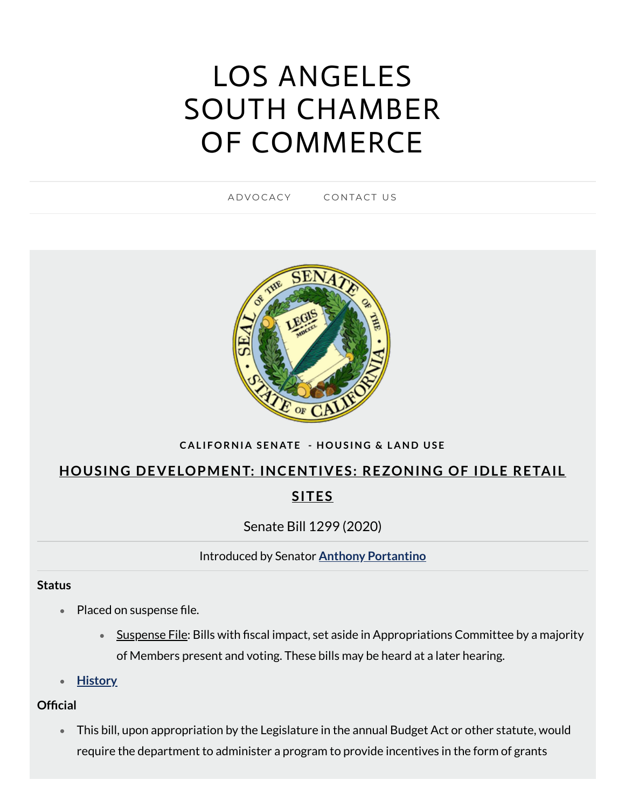# LOS ANGELES SOUTH CHAMBER OF [COMMERCE](https://www.lascc.us/)

A D V [O](https://www.lascc.us/) CACY CON[TA](https://www.lascc.us/contact-us.html)CT US



### CALIFORNIA SENATE - HOUSING & LAND USE

# **HOUSING DEVELOPMENT: INCENTIVES: REZONING OF IDLE RETAIL SITES**

Senate Bill 1299 (2020)

Introduced by Senator **Anthony [Portantino](https://sd25.senate.ca.gov/)**

#### **Status**

- Placed on suspense file.
	- Suspense File: Bills with fiscal impact, set aside in Appropriations Committee by a majority of Members present and voting. These bills may be heard at a later hearing.
- **[History](https://leginfo.legislature.ca.gov/faces/billHistoryClient.xhtml?bill_id=201920200SB1299)**

### **Official**

This bill, upon appropriation by the Legislature in the annual Budget Act or other statute, would require the department to administer a program to provide incentives in the form of grants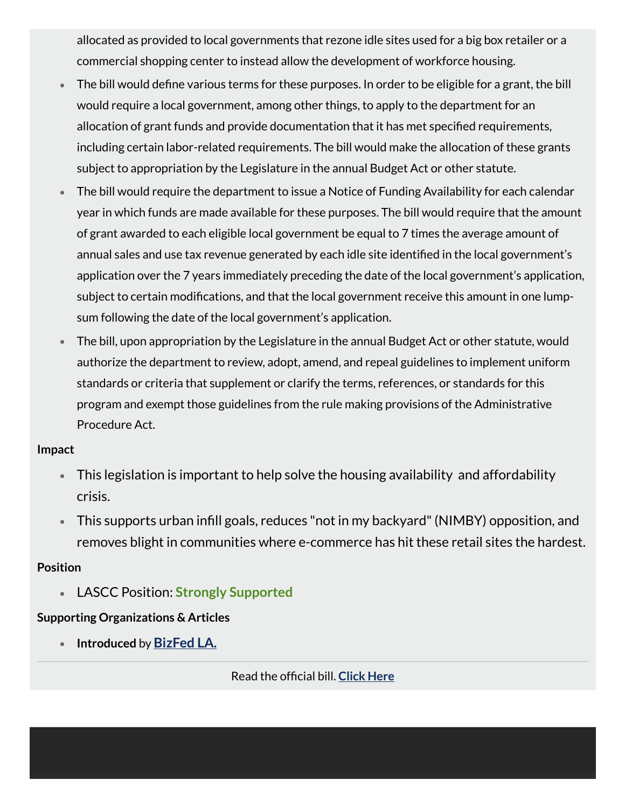allocated as provided to local governments that rezone idle sites used for a big box retailer or a commercial shopping center to instead allow the development of workforce housing.

- The bill would define various terms for these purposes. In order to be eligible for a grant, the bill  $\bullet$ would require a local government, among other things, to apply to the department for an allocation of grant funds and provide documentation that it has met specified requirements, including certain labor-related requirements. The bill would make the allocation of these grants subject to appropriation by the Legislature in the annual Budget Act or other statute.
- The bill would require the department to issue a Notice of Funding Availability for each calendar  $\bullet$ year in which funds are made available for these purposes. The bill would require that the amount of grant awarded to each eligible local government be equal to 7 times the average amount of annual sales and use tax revenue generated by each idle site identified in the local government's application over the 7 years immediately preceding the date of the local government's application, subject to certain modifications, and that the local government receive this amount in one lumpsum following the date of the local government's application.
- The bill, upon appropriation by the Legislature in the annual Budget Act or other statute, would  $\bullet$ authorize the department to review, adopt, amend, and repeal guidelines to implement uniform standards or criteria that supplement or clarify the terms, references, or standards for this program and exempt those guidelines from the rule making provisions of the Administrative Procedure Act.

#### **Impact**

- This legislation is important to help solve the housing availability and affordability crisis.
- $\bullet$  This supports urban infill goals, reduces "not in my backyard" (NIMBY) opposition, and removes blight in communities where e-commerce has hit these retail sites the hardest.

### **Position**

LASCC Position: **Strongly Supported**

## **Supporting Organizations & Articles**

**Introduced** by **[BizFed](https://bizfedlacounty.org/) LA.**